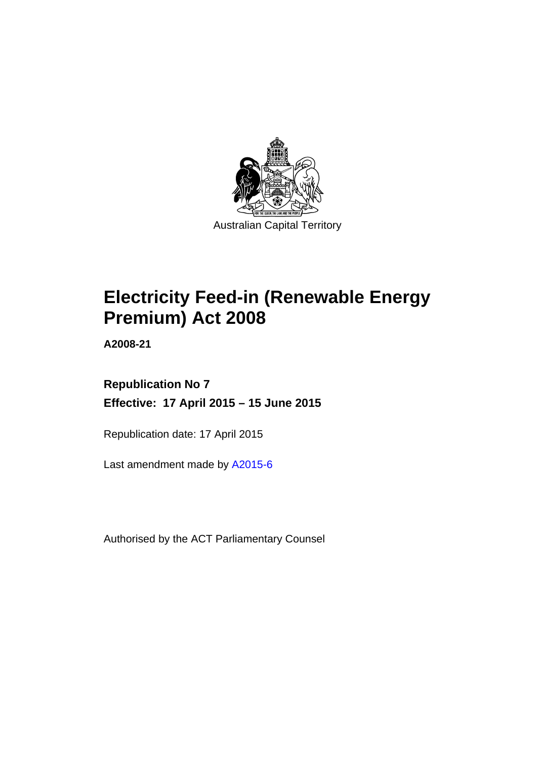

# **Electricity Feed-in (Renewable Energy Premium) Act 2008**

**A2008-21** 

### **Republication No 7 Effective: 17 April 2015 – 15 June 2015**

Republication date: 17 April 2015

Last amendment made by [A2015-6](http://www.legislation.act.gov.au/a/2015-6)

Authorised by the ACT Parliamentary Counsel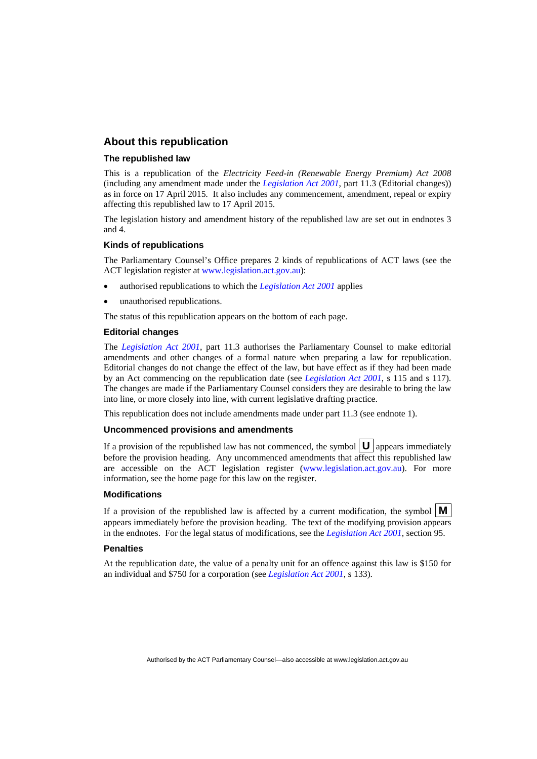### **About this republication**

### **The republished law**

This is a republication of the *Electricity Feed-in (Renewable Energy Premium) Act 2008* (including any amendment made under the *[Legislation Act 2001](http://www.legislation.act.gov.au/a/2001-14)*, part 11.3 (Editorial changes)) as in force on 17 April 2015*.* It also includes any commencement, amendment, repeal or expiry affecting this republished law to 17 April 2015.

The legislation history and amendment history of the republished law are set out in endnotes 3 and 4.

### **Kinds of republications**

The Parliamentary Counsel's Office prepares 2 kinds of republications of ACT laws (see the ACT legislation register at [www.legislation.act.gov.au](http://www.legislation.act.gov.au/)):

- authorised republications to which the *[Legislation Act 2001](http://www.legislation.act.gov.au/a/2001-14)* applies
- unauthorised republications.

The status of this republication appears on the bottom of each page.

### **Editorial changes**

The *[Legislation Act 2001](http://www.legislation.act.gov.au/a/2001-14)*, part 11.3 authorises the Parliamentary Counsel to make editorial amendments and other changes of a formal nature when preparing a law for republication. Editorial changes do not change the effect of the law, but have effect as if they had been made by an Act commencing on the republication date (see *[Legislation Act 2001](http://www.legislation.act.gov.au/a/2001-14)*, s 115 and s 117). The changes are made if the Parliamentary Counsel considers they are desirable to bring the law into line, or more closely into line, with current legislative drafting practice.

This republication does not include amendments made under part 11.3 (see endnote 1).

### **Uncommenced provisions and amendments**

If a provision of the republished law has not commenced, the symbol  $\mathbf{U}$  appears immediately before the provision heading. Any uncommenced amendments that affect this republished law are accessible on the ACT legislation register [\(www.legislation.act.gov.au\)](http://www.legislation.act.gov.au/). For more information, see the home page for this law on the register.

#### **Modifications**

If a provision of the republished law is affected by a current modification, the symbol  $\mathbf{M}$ appears immediately before the provision heading. The text of the modifying provision appears in the endnotes. For the legal status of modifications, see the *[Legislation Act 2001](http://www.legislation.act.gov.au/a/2001-14)*, section 95.

#### **Penalties**

At the republication date, the value of a penalty unit for an offence against this law is \$150 for an individual and \$750 for a corporation (see *[Legislation Act 2001](http://www.legislation.act.gov.au/a/2001-14)*, s 133).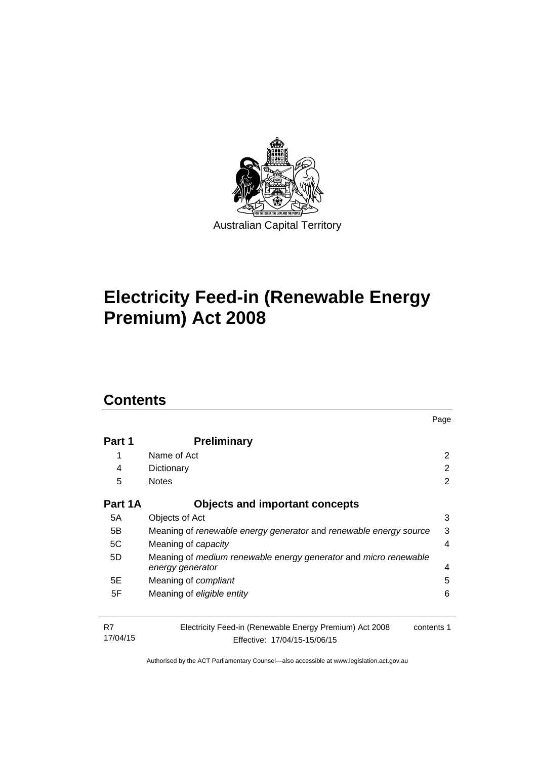

# **Electricity Feed-in (Renewable Energy Premium) Act 2008**

### **Contents**

| Part 1         | <b>Preliminary</b>                                                                                    |   |  |  |  |
|----------------|-------------------------------------------------------------------------------------------------------|---|--|--|--|
| 1              | Name of Act                                                                                           | 2 |  |  |  |
| 4              | Dictionary                                                                                            | 2 |  |  |  |
| 5              | <b>Notes</b>                                                                                          |   |  |  |  |
| Part 1A        | <b>Objects and important concepts</b>                                                                 |   |  |  |  |
| 5A             | Objects of Act                                                                                        | 3 |  |  |  |
| 5B             | Meaning of renewable energy generator and renewable energy source                                     |   |  |  |  |
| 5C             | Meaning of capacity                                                                                   | 4 |  |  |  |
| 5D             | Meaning of medium renewable energy generator and micro renewable<br>4<br>energy generator             |   |  |  |  |
| 5E             | Meaning of <i>compliant</i>                                                                           | 5 |  |  |  |
| 5F             | Meaning of eligible entity                                                                            | 6 |  |  |  |
| R7<br>17/04/15 | Electricity Feed-in (Renewable Energy Premium) Act 2008<br>contents 1<br>Effective: 17/04/15-15/06/15 |   |  |  |  |

Page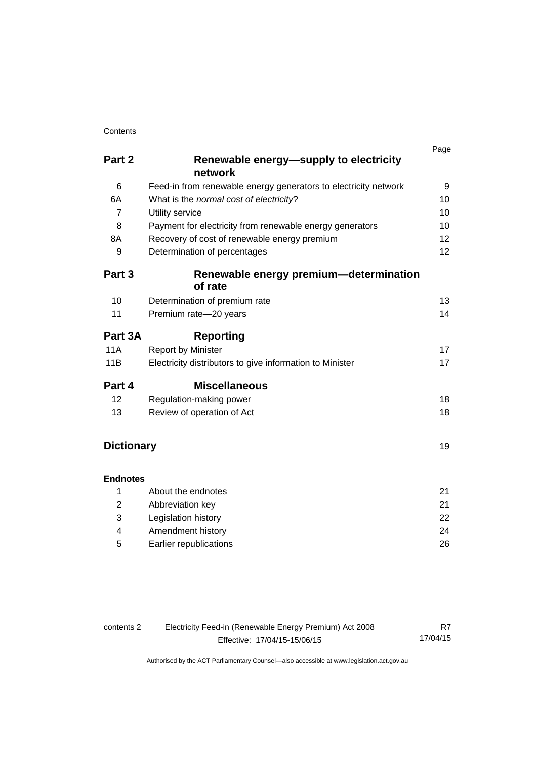### **Contents**

|                   |                                                                 | Page |
|-------------------|-----------------------------------------------------------------|------|
| Part 2            | Renewable energy-supply to electricity                          |      |
|                   | network                                                         |      |
| 6                 | Feed-in from renewable energy generators to electricity network | 9    |
| 6A                | What is the normal cost of electricity?                         | 10   |
| $\overline{7}$    | Utility service                                                 | 10   |
| 8                 | Payment for electricity from renewable energy generators        | 10   |
| 8A                | Recovery of cost of renewable energy premium                    | 12   |
| 9                 | Determination of percentages                                    | 12   |
| Part 3            | Renewable energy premium—determination                          |      |
|                   | of rate                                                         |      |
| 10                | Determination of premium rate                                   | 13   |
| 11                | Premium rate-20 years                                           | 14   |
| Part 3A           | <b>Reporting</b>                                                |      |
| <b>11A</b>        | <b>Report by Minister</b>                                       | 17   |
| 11B               | Electricity distributors to give information to Minister        | 17   |
| Part 4            | <b>Miscellaneous</b>                                            |      |
| 12                | Regulation-making power                                         | 18   |
| 13                | Review of operation of Act                                      | 18   |
|                   |                                                                 |      |
| <b>Dictionary</b> |                                                                 | 19   |
| <b>Endnotes</b>   |                                                                 |      |
| 1                 | About the endnotes                                              | 21   |
| $\overline{2}$    | Abbreviation key                                                | 21   |
| 3                 | Legislation history                                             | 22   |
| 4                 | Amendment history                                               | 24   |

5 [Earlier republications 26](#page-29-0)

| contents 2 | Electricity Feed-in (Renewable Energy Premium) Act 2008 |          |  |
|------------|---------------------------------------------------------|----------|--|
|            | Effective: 17/04/15-15/06/15                            | 17/04/15 |  |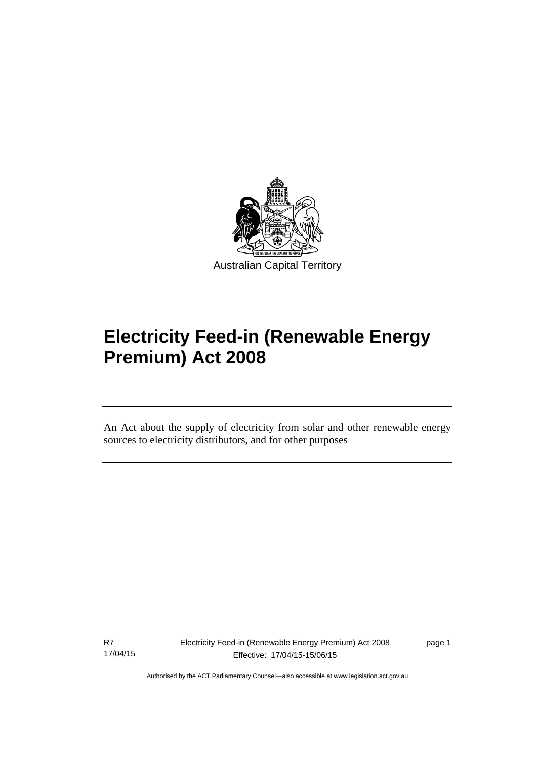

# **Electricity Feed-in (Renewable Energy Premium) Act 2008**

An Act about the supply of electricity from solar and other renewable energy sources to electricity distributors, and for other purposes

R7 17/04/15

l

page 1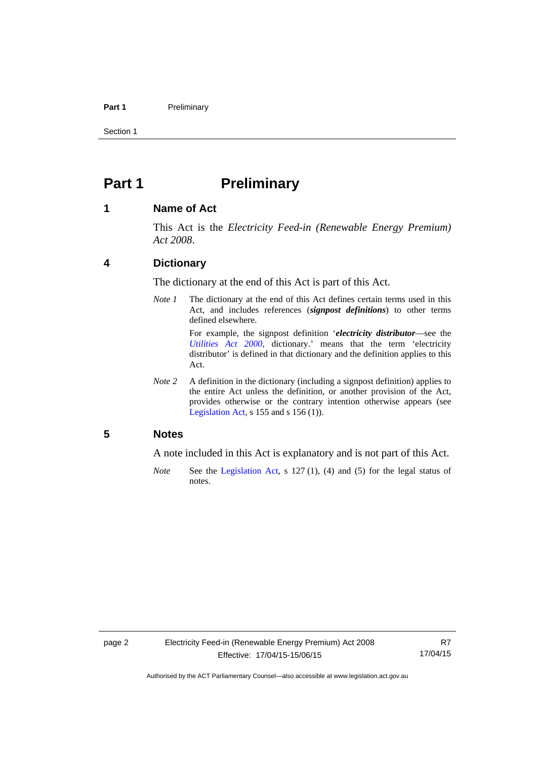### Part 1 **Preliminary**

Section 1

### <span id="page-5-0"></span>**Part 1** Preliminary

### <span id="page-5-1"></span>**1 Name of Act**

This Act is the *Electricity Feed-in (Renewable Energy Premium) Act 2008*.

### <span id="page-5-2"></span>**4 Dictionary**

The dictionary at the end of this Act is part of this Act.

*Note 1* The dictionary at the end of this Act defines certain terms used in this Act, and includes references (*signpost definitions*) to other terms defined elsewhere.

> For example, the signpost definition '*electricity distributor*—see the *[Utilities Act 2000](http://www.legislation.act.gov.au/a/2000-65)*, dictionary.' means that the term 'electricity distributor' is defined in that dictionary and the definition applies to this Act.

*Note 2* A definition in the dictionary (including a signpost definition) applies to the entire Act unless the definition, or another provision of the Act, provides otherwise or the contrary intention otherwise appears (see [Legislation Act,](http://www.legislation.act.gov.au/a/2001-14) s  $155$  and s  $156$  (1)).

### <span id="page-5-3"></span>**5 Notes**

A note included in this Act is explanatory and is not part of this Act.

*Note* See the [Legislation Act,](http://www.legislation.act.gov.au/a/2001-14) s 127 (1), (4) and (5) for the legal status of notes.

R7 17/04/15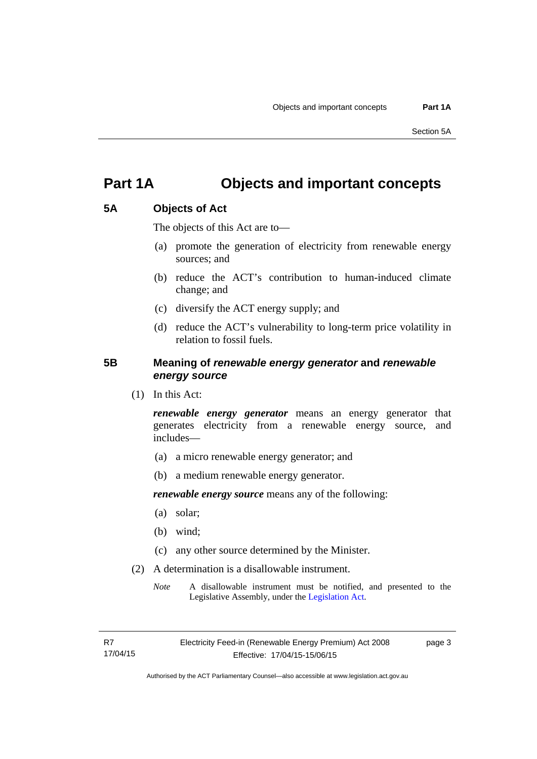### <span id="page-6-0"></span>**Part 1A Objects and important concepts**

### <span id="page-6-1"></span>**5A Objects of Act**

The objects of this Act are to—

- (a) promote the generation of electricity from renewable energy sources; and
- (b) reduce the ACT's contribution to human-induced climate change; and
- (c) diversify the ACT energy supply; and
- (d) reduce the ACT's vulnerability to long-term price volatility in relation to fossil fuels.

### <span id="page-6-2"></span>**5B Meaning of** *renewable energy generator* **and** *renewable energy source*

(1) In this Act:

*renewable energy generator* means an energy generator that generates electricity from a renewable energy source, and includes—

- (a) a micro renewable energy generator; and
- (b) a medium renewable energy generator.

*renewable energy source* means any of the following:

- (a) solar;
- (b) wind;
- (c) any other source determined by the Minister.
- (2) A determination is a disallowable instrument.
	- *Note* A disallowable instrument must be notified, and presented to the Legislative Assembly, under the [Legislation Act.](http://www.legislation.act.gov.au/a/2001-14)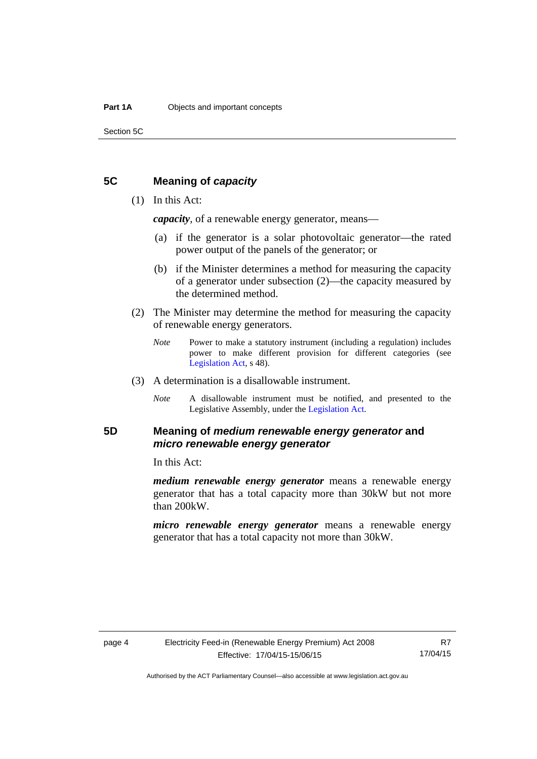Section 5C

### <span id="page-7-0"></span>**5C Meaning of** *capacity*

### (1) In this Act:

*capacity*, of a renewable energy generator, means—

- (a) if the generator is a solar photovoltaic generator—the rated power output of the panels of the generator; or
- (b) if the Minister determines a method for measuring the capacity of a generator under subsection (2)—the capacity measured by the determined method.
- (2) The Minister may determine the method for measuring the capacity of renewable energy generators.
	- *Note* Power to make a statutory instrument (including a regulation) includes power to make different provision for different categories (see [Legislation Act,](http://www.legislation.act.gov.au/a/2001-14) s 48).
- (3) A determination is a disallowable instrument.
	- *Note* A disallowable instrument must be notified, and presented to the Legislative Assembly, under the [Legislation Act.](http://www.legislation.act.gov.au/a/2001-14)

### <span id="page-7-1"></span>**5D Meaning of** *medium renewable energy generator* **and**  *micro renewable energy generator*

In this Act:

*medium renewable energy generator* means a renewable energy generator that has a total capacity more than 30kW but not more than 200kW.

*micro renewable energy generator* means a renewable energy generator that has a total capacity not more than 30kW.

R7 17/04/15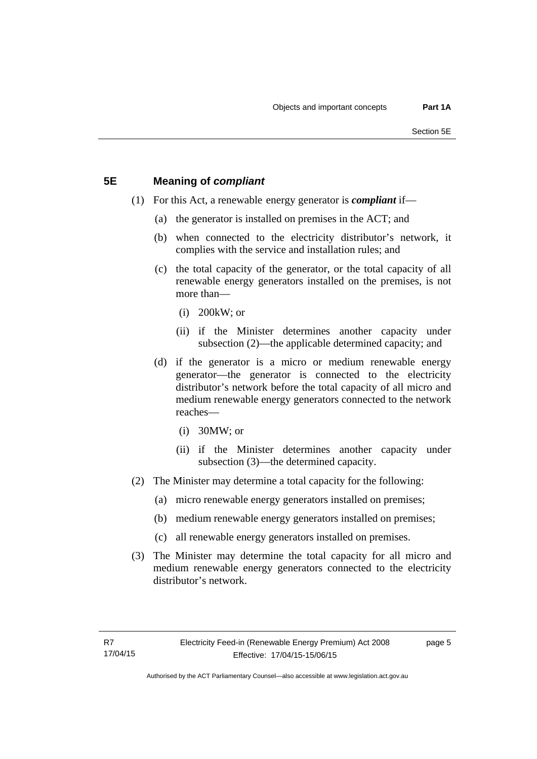### <span id="page-8-0"></span>**5E Meaning of** *compliant*

- (1) For this Act, a renewable energy generator is *compliant* if—
	- (a) the generator is installed on premises in the ACT; and
	- (b) when connected to the electricity distributor's network, it complies with the service and installation rules; and
	- (c) the total capacity of the generator, or the total capacity of all renewable energy generators installed on the premises, is not more than—
		- (i) 200kW; or
		- (ii) if the Minister determines another capacity under subsection (2)—the applicable determined capacity; and
	- (d) if the generator is a micro or medium renewable energy generator—the generator is connected to the electricity distributor's network before the total capacity of all micro and medium renewable energy generators connected to the network reaches—
		- (i) 30MW; or
		- (ii) if the Minister determines another capacity under subsection (3)—the determined capacity.
- (2) The Minister may determine a total capacity for the following:
	- (a) micro renewable energy generators installed on premises;
	- (b) medium renewable energy generators installed on premises;
	- (c) all renewable energy generators installed on premises.
- (3) The Minister may determine the total capacity for all micro and medium renewable energy generators connected to the electricity distributor's network.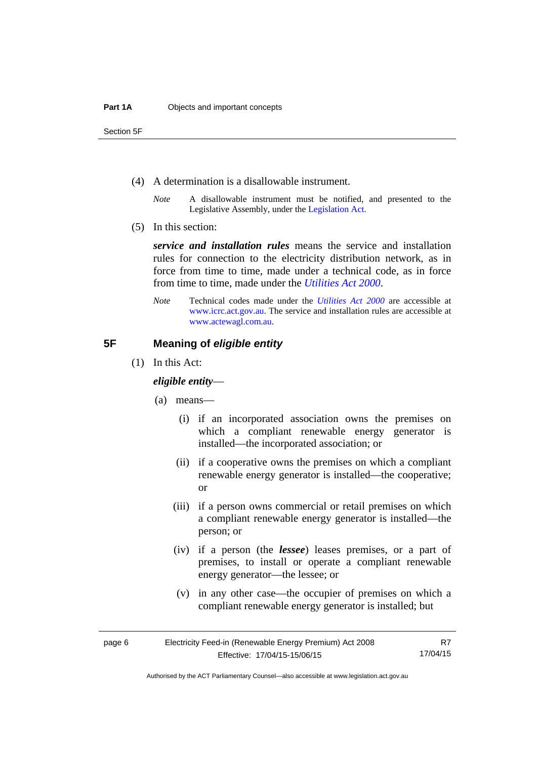Section 5F

- (4) A determination is a disallowable instrument.
	- *Note* A disallowable instrument must be notified, and presented to the Legislative Assembly, under the [Legislation Act.](http://www.legislation.act.gov.au/a/2001-14)
- (5) In this section:

*service and installation rules* means the service and installation rules for connection to the electricity distribution network, as in force from time to time, made under a technical code, as in force from time to time, made under the *[Utilities Act 2000](http://www.legislation.act.gov.au/a/2000-65)*.

*Note* Technical codes made under the *[Utilities Act 2000](http://www.legislation.act.gov.au/a/2000-65)* are accessible at [www.icrc.act.gov.au.](http://www.icrc.act.gov.au/) The service and installation rules are accessible at [www.actewagl.com.au](http://www.actewagl.com.au/).

### <span id="page-9-0"></span>**5F Meaning of** *eligible entity*

(1) In this Act:

### *eligible entity*—

- (a) means—
	- (i) if an incorporated association owns the premises on which a compliant renewable energy generator is installed—the incorporated association; or
	- (ii) if a cooperative owns the premises on which a compliant renewable energy generator is installed—the cooperative; or
	- (iii) if a person owns commercial or retail premises on which a compliant renewable energy generator is installed—the person; or
	- (iv) if a person (the *lessee*) leases premises, or a part of premises, to install or operate a compliant renewable energy generator—the lessee; or
	- (v) in any other case—the occupier of premises on which a compliant renewable energy generator is installed; but

R7 17/04/15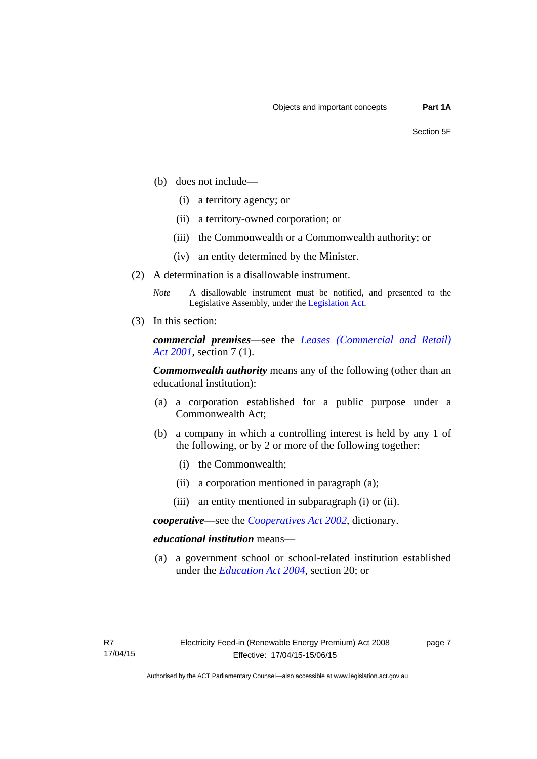- (b) does not include—
	- (i) a territory agency; or
	- (ii) a territory-owned corporation; or
	- (iii) the Commonwealth or a Commonwealth authority; or
	- (iv) an entity determined by the Minister.
- (2) A determination is a disallowable instrument.
	- *Note* A disallowable instrument must be notified, and presented to the Legislative Assembly, under the [Legislation Act.](http://www.legislation.act.gov.au/a/2001-14)
- (3) In this section:

*commercial premises*—see the *[Leases \(Commercial and Retail\)](http://www.legislation.act.gov.au/a/2001-18)  [Act 2001](http://www.legislation.act.gov.au/a/2001-18)*, section 7 (1).

*Commonwealth authority* means any of the following (other than an educational institution):

- (a) a corporation established for a public purpose under a Commonwealth Act;
- (b) a company in which a controlling interest is held by any 1 of the following, or by 2 or more of the following together:
	- (i) the Commonwealth;
	- (ii) a corporation mentioned in paragraph (a);
	- (iii) an entity mentioned in subparagraph (i) or (ii).

*cooperative*—see the *[Cooperatives Act 2002](http://www.legislation.act.gov.au/a/2002-45)*, dictionary.

### *educational institution* means—

 (a) a government school or school-related institution established under the *[Education Act 2004](http://www.legislation.act.gov.au/a/2004-17)*, section 20; or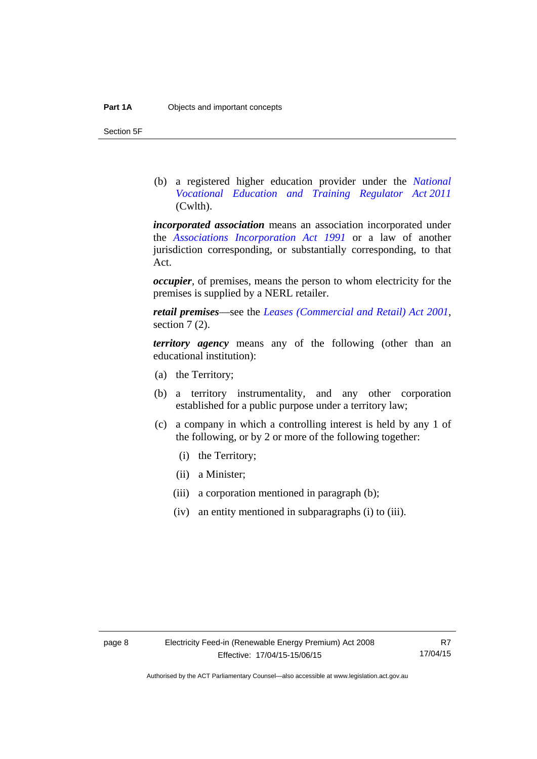Section 5F

 (b) a registered higher education provider under the *[National](http://www.comlaw.gov.au/Series/C2011A00012)  [Vocational Education and Training Regulator Act 2011](http://www.comlaw.gov.au/Series/C2011A00012)* (Cwlth).

*incorporated association* means an association incorporated under the *[Associations Incorporation Act 1991](http://www.legislation.act.gov.au/a/1991-46)* or a law of another jurisdiction corresponding, or substantially corresponding, to that Act.

*occupier*, of premises, means the person to whom electricity for the premises is supplied by a NERL retailer.

*retail premises*—see the *[Leases \(Commercial and Retail\) Act 2001](http://www.legislation.act.gov.au/a/2001-18)*, section 7 (2).

*territory agency* means any of the following (other than an educational institution):

- (a) the Territory;
- (b) a territory instrumentality, and any other corporation established for a public purpose under a territory law;
- (c) a company in which a controlling interest is held by any 1 of the following, or by 2 or more of the following together:
	- (i) the Territory;
	- (ii) a Minister;
	- (iii) a corporation mentioned in paragraph (b);
	- (iv) an entity mentioned in subparagraphs (i) to (iii).

R7 17/04/15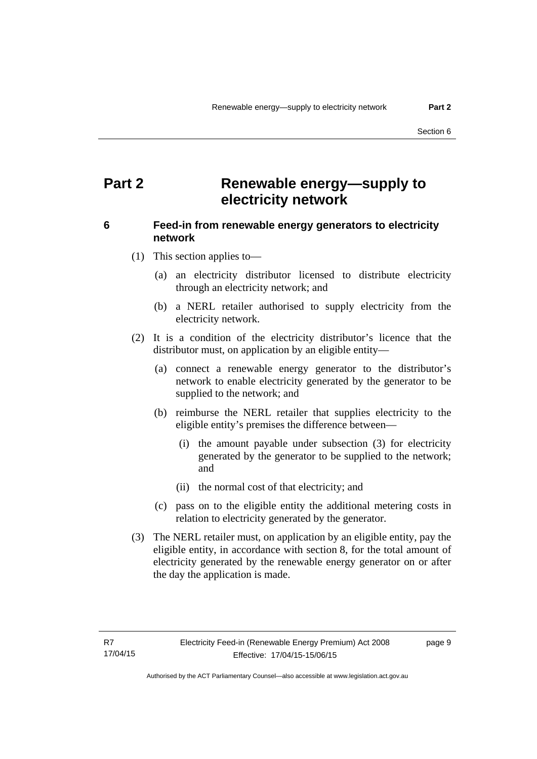### <span id="page-12-0"></span>**Part 2 Renewable energy—supply to electricity network**

### <span id="page-12-1"></span>**6 Feed-in from renewable energy generators to electricity network**

(1) This section applies to—

- (a) an electricity distributor licensed to distribute electricity through an electricity network; and
- (b) a NERL retailer authorised to supply electricity from the electricity network.
- (2) It is a condition of the electricity distributor's licence that the distributor must, on application by an eligible entity—
	- (a) connect a renewable energy generator to the distributor's network to enable electricity generated by the generator to be supplied to the network; and
	- (b) reimburse the NERL retailer that supplies electricity to the eligible entity's premises the difference between—
		- (i) the amount payable under subsection (3) for electricity generated by the generator to be supplied to the network; and
		- (ii) the normal cost of that electricity; and
	- (c) pass on to the eligible entity the additional metering costs in relation to electricity generated by the generator.
- (3) The NERL retailer must, on application by an eligible entity, pay the eligible entity, in accordance with section 8, for the total amount of electricity generated by the renewable energy generator on or after the day the application is made.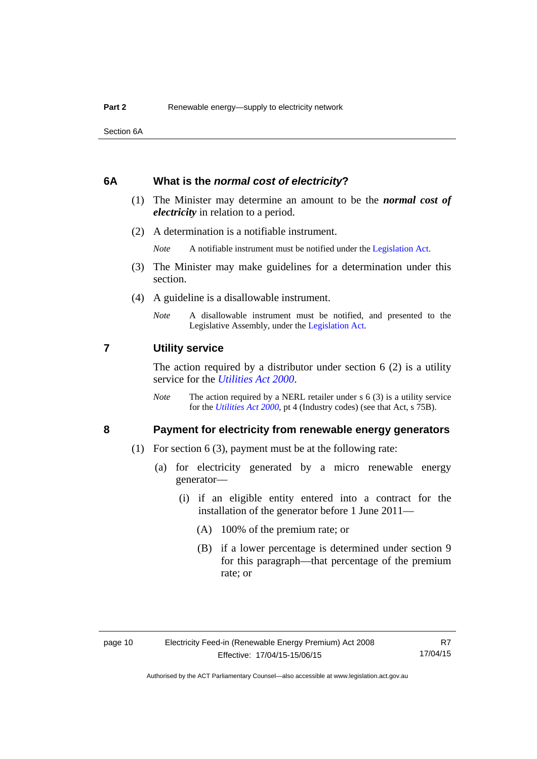Section 6A

### <span id="page-13-0"></span>**6A What is the** *normal cost of electricity***?**

- (1) The Minister may determine an amount to be the *normal cost of electricity* in relation to a period.
- (2) A determination is a notifiable instrument.

*Note* A notifiable instrument must be notified under the [Legislation Act](http://www.legislation.act.gov.au/a/2001-14).

- (3) The Minister may make guidelines for a determination under this section.
- (4) A guideline is a disallowable instrument.
	- *Note* A disallowable instrument must be notified, and presented to the Legislative Assembly, under the [Legislation Act.](http://www.legislation.act.gov.au/a/2001-14)

### <span id="page-13-1"></span>**7 Utility service**

The action required by a distributor under section  $6(2)$  is a utility service for the *[Utilities Act 2000](http://www.legislation.act.gov.au/a/2000-65)*.

*Note* The action required by a NERL retailer under s 6 (3) is a utility service for the *[Utilities Act 2000](http://www.legislation.act.gov.au/a/2000-65)*, pt 4 (Industry codes) (see that Act, s 75B).

### <span id="page-13-2"></span>**8 Payment for electricity from renewable energy generators**

- (1) For section 6 (3), payment must be at the following rate:
	- (a) for electricity generated by a micro renewable energy generator—
		- (i) if an eligible entity entered into a contract for the installation of the generator before 1 June 2011—
			- (A) 100% of the premium rate; or
			- (B) if a lower percentage is determined under section 9 for this paragraph—that percentage of the premium rate; or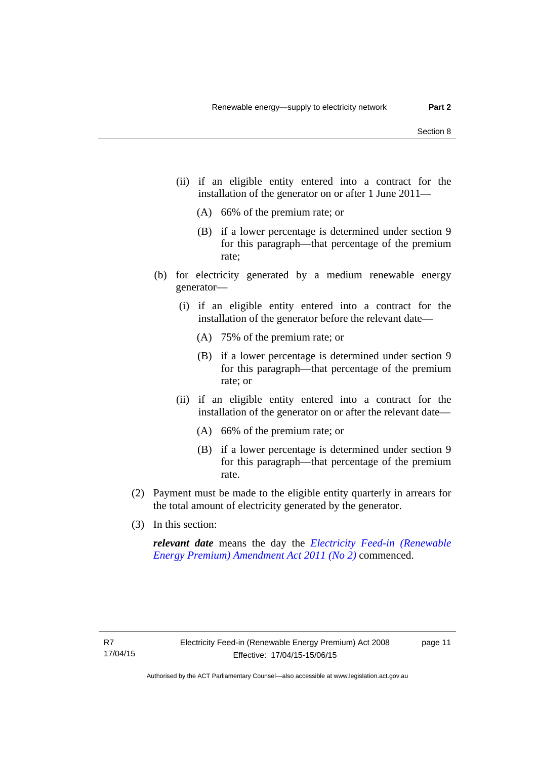- (ii) if an eligible entity entered into a contract for the installation of the generator on or after 1 June 2011—
	- (A) 66% of the premium rate; or
	- (B) if a lower percentage is determined under section 9 for this paragraph—that percentage of the premium rate;
- (b) for electricity generated by a medium renewable energy generator—
	- (i) if an eligible entity entered into a contract for the installation of the generator before the relevant date—
		- (A) 75% of the premium rate; or
		- (B) if a lower percentage is determined under section 9 for this paragraph—that percentage of the premium rate; or
	- (ii) if an eligible entity entered into a contract for the installation of the generator on or after the relevant date—
		- (A) 66% of the premium rate; or
		- (B) if a lower percentage is determined under section 9 for this paragraph—that percentage of the premium rate.
- (2) Payment must be made to the eligible entity quarterly in arrears for the total amount of electricity generated by the generator.
- (3) In this section:

*relevant date* means the day the *[Electricity Feed-in \(Renewable](http://www.legislation.act.gov.au/a/2011-25)  [Energy Premium\) Amendment Act 2011 \(No 2\)](http://www.legislation.act.gov.au/a/2011-25)* commenced.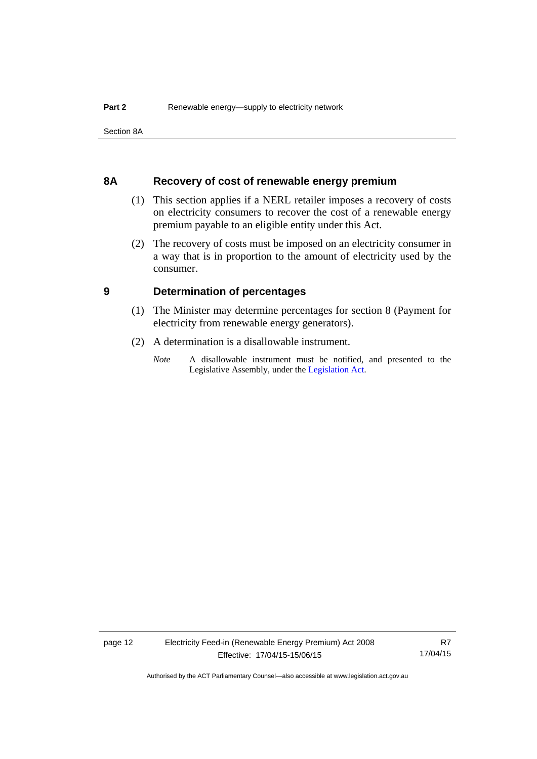Section 8A

### <span id="page-15-0"></span>**8A Recovery of cost of renewable energy premium**

- (1) This section applies if a NERL retailer imposes a recovery of costs on electricity consumers to recover the cost of a renewable energy premium payable to an eligible entity under this Act.
- (2) The recovery of costs must be imposed on an electricity consumer in a way that is in proportion to the amount of electricity used by the consumer.

### <span id="page-15-1"></span>**9 Determination of percentages**

- (1) The Minister may determine percentages for section 8 (Payment for electricity from renewable energy generators).
- (2) A determination is a disallowable instrument.
	- *Note* A disallowable instrument must be notified, and presented to the Legislative Assembly, under the [Legislation Act.](http://www.legislation.act.gov.au/a/2001-14)

R7 17/04/15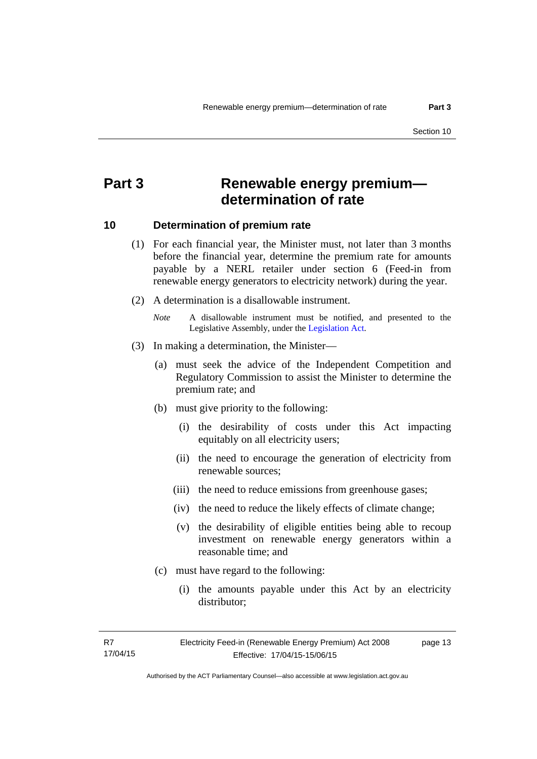### <span id="page-16-0"></span>**Part 3 Renewable energy premium determination of rate**

### <span id="page-16-1"></span>**10 Determination of premium rate**

- (1) For each financial year, the Minister must, not later than 3 months before the financial year, determine the premium rate for amounts payable by a NERL retailer under section 6 (Feed-in from renewable energy generators to electricity network) during the year.
- (2) A determination is a disallowable instrument.
	- *Note* A disallowable instrument must be notified, and presented to the Legislative Assembly, under the [Legislation Act.](http://www.legislation.act.gov.au/a/2001-14)
- (3) In making a determination, the Minister—
	- (a) must seek the advice of the Independent Competition and Regulatory Commission to assist the Minister to determine the premium rate; and
	- (b) must give priority to the following:
		- (i) the desirability of costs under this Act impacting equitably on all electricity users;
		- (ii) the need to encourage the generation of electricity from renewable sources;
		- (iii) the need to reduce emissions from greenhouse gases;
		- (iv) the need to reduce the likely effects of climate change;
		- (v) the desirability of eligible entities being able to recoup investment on renewable energy generators within a reasonable time; and
	- (c) must have regard to the following:
		- (i) the amounts payable under this Act by an electricity distributor;

R7 17/04/15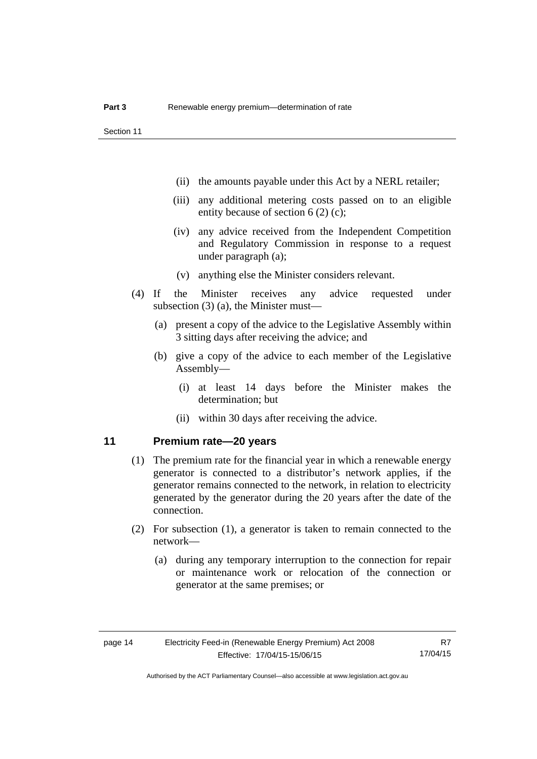- (ii) the amounts payable under this Act by a NERL retailer;
- (iii) any additional metering costs passed on to an eligible entity because of section 6 (2) (c);
- (iv) any advice received from the Independent Competition and Regulatory Commission in response to a request under paragraph (a);
- (v) anything else the Minister considers relevant.
- (4) If the Minister receives any advice requested under subsection (3) (a), the Minister must—
	- (a) present a copy of the advice to the Legislative Assembly within 3 sitting days after receiving the advice; and
	- (b) give a copy of the advice to each member of the Legislative Assembly—
		- (i) at least 14 days before the Minister makes the determination; but
		- (ii) within 30 days after receiving the advice.

### <span id="page-17-0"></span>**11 Premium rate—20 years**

- (1) The premium rate for the financial year in which a renewable energy generator is connected to a distributor's network applies, if the generator remains connected to the network, in relation to electricity generated by the generator during the 20 years after the date of the connection.
- (2) For subsection (1), a generator is taken to remain connected to the network—
	- (a) during any temporary interruption to the connection for repair or maintenance work or relocation of the connection or generator at the same premises; or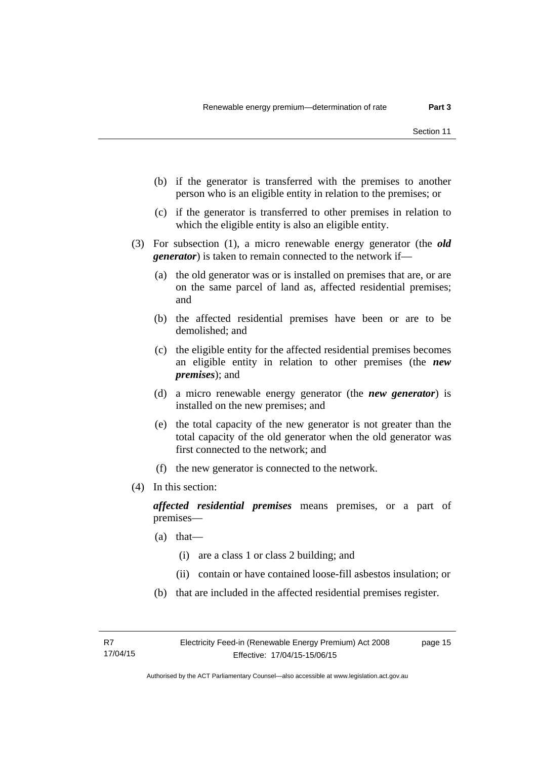- (b) if the generator is transferred with the premises to another person who is an eligible entity in relation to the premises; or
- (c) if the generator is transferred to other premises in relation to which the eligible entity is also an eligible entity.
- (3) For subsection (1), a micro renewable energy generator (the *old generator*) is taken to remain connected to the network if—
	- (a) the old generator was or is installed on premises that are, or are on the same parcel of land as, affected residential premises; and
	- (b) the affected residential premises have been or are to be demolished; and
	- (c) the eligible entity for the affected residential premises becomes an eligible entity in relation to other premises (the *new premises*); and
	- (d) a micro renewable energy generator (the *new generator*) is installed on the new premises; and
	- (e) the total capacity of the new generator is not greater than the total capacity of the old generator when the old generator was first connected to the network; and
	- (f) the new generator is connected to the network.
- (4) In this section:

*affected residential premises* means premises, or a part of premises—

- (a) that—
	- (i) are a class 1 or class 2 building; and
	- (ii) contain or have contained loose-fill asbestos insulation; or
- (b) that are included in the affected residential premises register.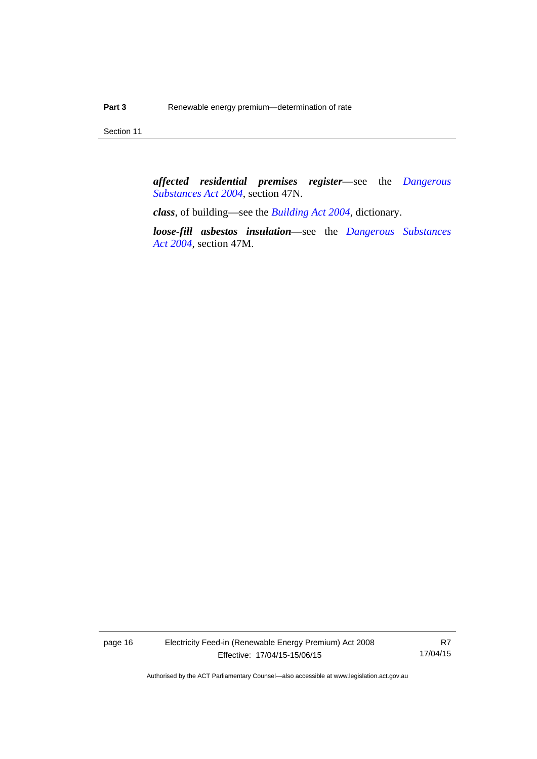Section 11

*affected residential premises register*—see the *[Dangerous](http://www.legislation.act.gov.au/a/2004-7)  [Substances Act 2004](http://www.legislation.act.gov.au/a/2004-7)*, section 47N.

*class*, of building—see the *[Building Act 2004](http://www.legislation.act.gov.au/a/2004-11)*, dictionary.

*loose-fill asbestos insulation*—see the *[Dangerous Substances](http://www.legislation.act.gov.au/a/2004-7)  [Act 2004](http://www.legislation.act.gov.au/a/2004-7)*, section 47M.

page 16 Electricity Feed-in (Renewable Energy Premium) Act 2008 Effective: 17/04/15-15/06/15

R7 17/04/15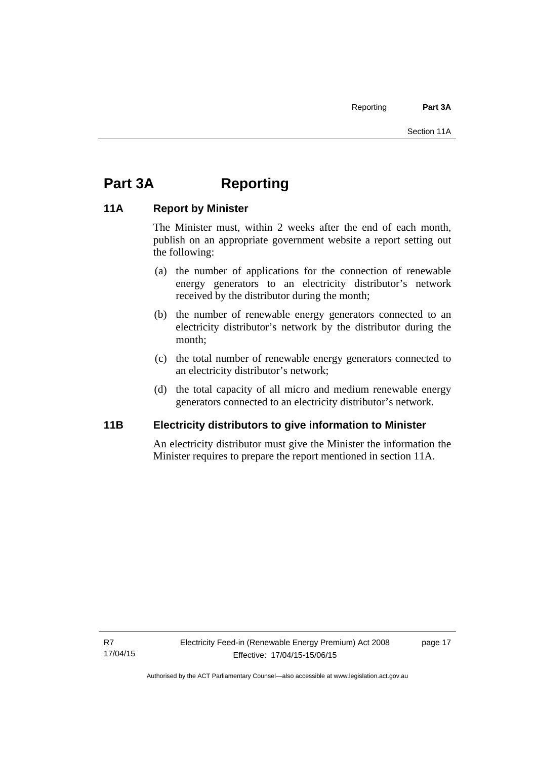## <span id="page-20-0"></span>**Part 3A Reporting**

### <span id="page-20-1"></span>**11A Report by Minister**

The Minister must, within 2 weeks after the end of each month, publish on an appropriate government website a report setting out the following:

- (a) the number of applications for the connection of renewable energy generators to an electricity distributor's network received by the distributor during the month;
- (b) the number of renewable energy generators connected to an electricity distributor's network by the distributor during the month;
- (c) the total number of renewable energy generators connected to an electricity distributor's network;
- (d) the total capacity of all micro and medium renewable energy generators connected to an electricity distributor's network.

### <span id="page-20-2"></span>**11B Electricity distributors to give information to Minister**

An electricity distributor must give the Minister the information the Minister requires to prepare the report mentioned in section 11A.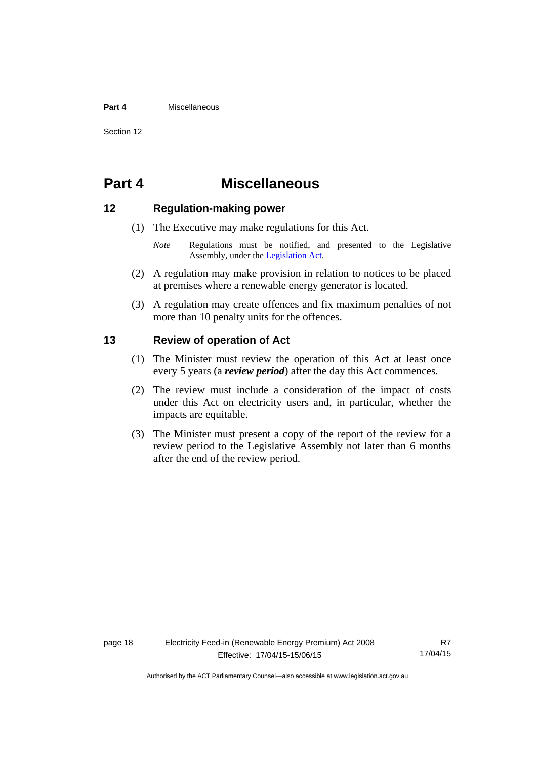### **Part 4** Miscellaneous

Section 12

### <span id="page-21-0"></span>**Part 4 Miscellaneous**

### <span id="page-21-1"></span>**12 Regulation-making power**

- (1) The Executive may make regulations for this Act.
	- *Note* Regulations must be notified, and presented to the Legislative Assembly, under the [Legislation Act](http://www.legislation.act.gov.au/a/2001-14).
- (2) A regulation may make provision in relation to notices to be placed at premises where a renewable energy generator is located.
- (3) A regulation may create offences and fix maximum penalties of not more than 10 penalty units for the offences.

### <span id="page-21-2"></span>**13 Review of operation of Act**

- (1) The Minister must review the operation of this Act at least once every 5 years (a *review period*) after the day this Act commences.
- (2) The review must include a consideration of the impact of costs under this Act on electricity users and, in particular, whether the impacts are equitable.
- (3) The Minister must present a copy of the report of the review for a review period to the Legislative Assembly not later than 6 months after the end of the review period.

R7 17/04/15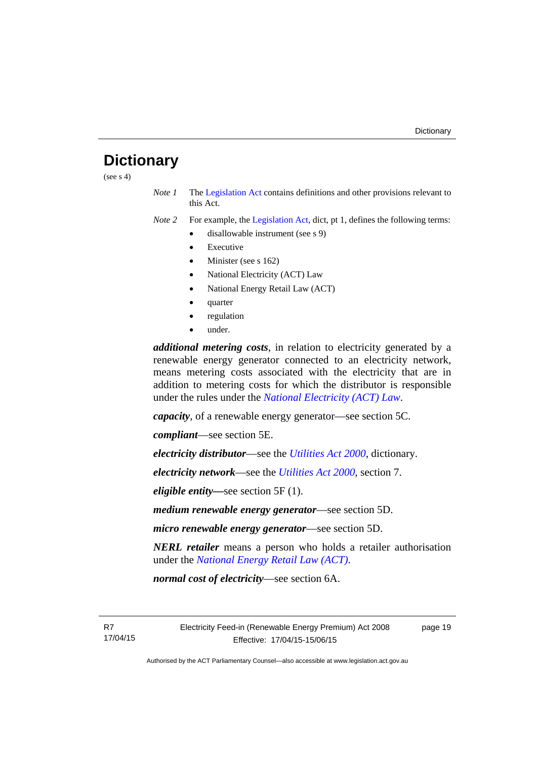### <span id="page-22-0"></span>**Dictionary**

(see  $s$  4)

*Note 1* The [Legislation Act](http://www.legislation.act.gov.au/a/2001-14) contains definitions and other provisions relevant to this Act.

*Note 2* For example, the [Legislation Act,](http://www.legislation.act.gov.au/a/2001-14) dict, pt 1, defines the following terms:

- disallowable instrument (see s 9)
	- Executive
	- Minister (see s 162)
	- National Electricity (ACT) Law
	- National Energy Retail Law (ACT)
	- quarter
	- regulation
	- under.

*additional metering costs*, in relation to electricity generated by a renewable energy generator connected to an electricity network, means metering costs associated with the electricity that are in addition to metering costs for which the distributor is responsible under the rules under the *[National Electricity \(ACT\) Law](http://www.legislation.act.gov.au/a/1997-79/default.asp)*.

*capacity*, of a renewable energy generator—see section 5C.

*compliant*—see section 5E.

*electricity distributor*—see the *[Utilities Act 2000](http://www.legislation.act.gov.au/a/2000-65)*, dictionary.

*electricity network*—see the *[Utilities Act 2000](http://www.legislation.act.gov.au/a/2000-65)*, section 7.

*eligible entity—*see section 5F (1).

*medium renewable energy generator*—see section 5D.

*micro renewable energy generator*—see section 5D.

*NERL retailer* means a person who holds a retailer authorisation under the *[National Energy Retail Law \(ACT\)](http://www.legislation.act.gov.au/a/2012-31/default.asp)*.

*normal cost of electricity*—see section 6A.

R7 17/04/15 Electricity Feed-in (Renewable Energy Premium) Act 2008 Effective: 17/04/15-15/06/15

page 19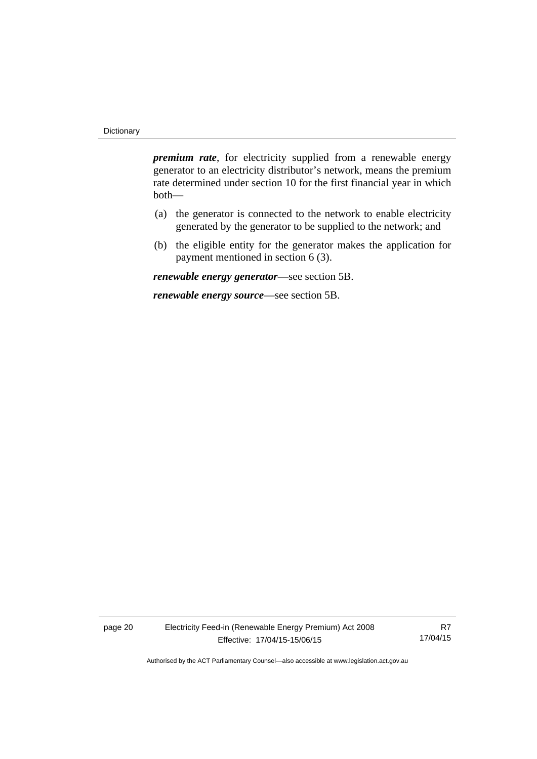*premium rate*, for electricity supplied from a renewable energy generator to an electricity distributor's network, means the premium rate determined under section 10 for the first financial year in which both—

- (a) the generator is connected to the network to enable electricity generated by the generator to be supplied to the network; and
- (b) the eligible entity for the generator makes the application for payment mentioned in section 6 (3).

*renewable energy generator*—see section 5B.

*renewable energy source*—see section 5B.

page 20 Electricity Feed-in (Renewable Energy Premium) Act 2008 Effective: 17/04/15-15/06/15

R7 17/04/15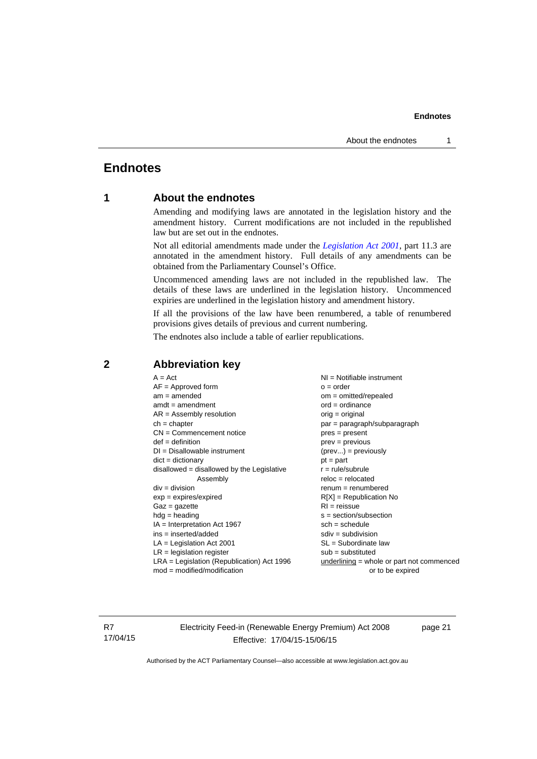### <span id="page-24-0"></span>**Endnotes**

### **1 About the endnotes**

Amending and modifying laws are annotated in the legislation history and the amendment history. Current modifications are not included in the republished law but are set out in the endnotes.

Not all editorial amendments made under the *[Legislation Act 2001](http://www.legislation.act.gov.au/a/2001-14)*, part 11.3 are annotated in the amendment history. Full details of any amendments can be obtained from the Parliamentary Counsel's Office.

Uncommenced amending laws are not included in the republished law. The details of these laws are underlined in the legislation history. Uncommenced expiries are underlined in the legislation history and amendment history.

If all the provisions of the law have been renumbered, a table of renumbered provisions gives details of previous and current numbering.

The endnotes also include a table of earlier republications.

### <span id="page-24-2"></span>**2 Abbreviation key**

R7 17/04/15 Electricity Feed-in (Renewable Energy Premium) Act 2008 Effective: 17/04/15-15/06/15

page 21

<span id="page-24-1"></span>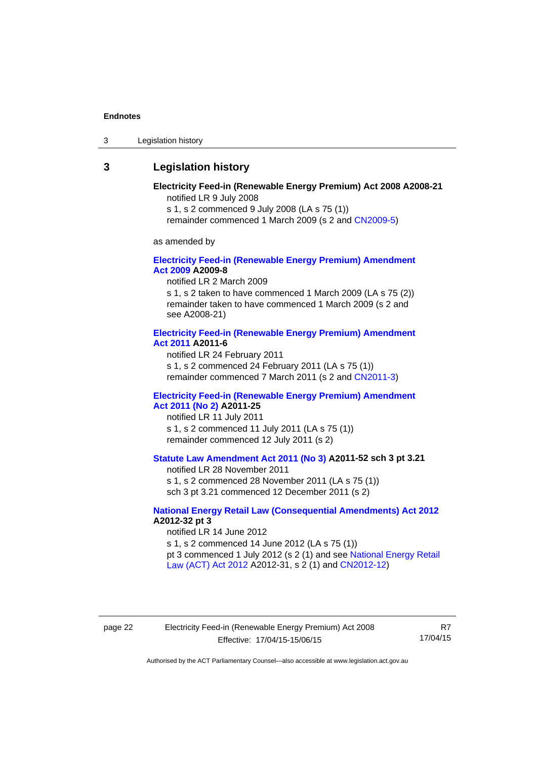3 Legislation history

### <span id="page-25-0"></span>**3 Legislation history**

### **Electricity Feed-in (Renewable Energy Premium) Act 2008 A2008-21**  notified LR 9 July 2008

s 1, s 2 commenced 9 July 2008 (LA s 75 (1))

remainder commenced 1 March 2009 (s 2 and [CN2009-5\)](http://www.legislation.act.gov.au/cn/2009-5/default.asp)

as amended by

### **[Electricity Feed-in \(Renewable Energy Premium\) Amendment](http://www.legislation.act.gov.au/a/2009-8)  [Act 2009](http://www.legislation.act.gov.au/a/2009-8) A2009-8**

notified LR 2 March 2009

s 1, s 2 taken to have commenced 1 March 2009 (LA s 75 (2)) remainder taken to have commenced 1 March 2009 (s 2 and see A2008-21)

### **[Electricity Feed-in \(Renewable Energy Premium\) Amendment](http://www.legislation.act.gov.au/a/2011-6)  [Act 2011](http://www.legislation.act.gov.au/a/2011-6) A2011-6**

notified LR 24 February 2011 s 1, s 2 commenced 24 February 2011 (LA s 75 (1)) remainder commenced 7 March 2011 (s 2 and [CN2011-3\)](http://www.legislation.act.gov.au/cn/2011-3/default.asp)

### **[Electricity Feed-in \(Renewable Energy Premium\) Amendment](http://www.legislation.act.gov.au/a/2011-25)  [Act 2011 \(No 2\)](http://www.legislation.act.gov.au/a/2011-25) A2011-25**

notified LR 11 July 2011 s 1, s 2 commenced 11 July 2011 (LA s 75 (1)) remainder commenced 12 July 2011 (s 2)

### **[Statute Law Amendment Act 2011 \(No 3\)](http://www.legislation.act.gov.au/a/2011-52) A2011-52 sch 3 pt 3.21**

notified LR 28 November 2011

s 1, s 2 commenced 28 November 2011 (LA s 75 (1)) sch 3 pt 3.21 commenced 12 December 2011 (s 2)

### **[National Energy Retail Law \(Consequential Amendments\) Act 2012](http://www.legislation.act.gov.au/a/2012-32) A2012-32 pt 3**

notified LR 14 June 2012 s 1, s 2 commenced 14 June 2012 (LA s 75 (1)) pt 3 commenced 1 July 2012 (s 2 (1) and see [National Energy Retail](http://www.legislation.act.gov.au/a/2012-31)  [Law \(ACT\) Act 2012](http://www.legislation.act.gov.au/a/2012-31) A2012-31, s 2 (1) and [CN2012-12\)](http://www.legislation.act.gov.au/cn/2012-12/default.asp)

R7 17/04/15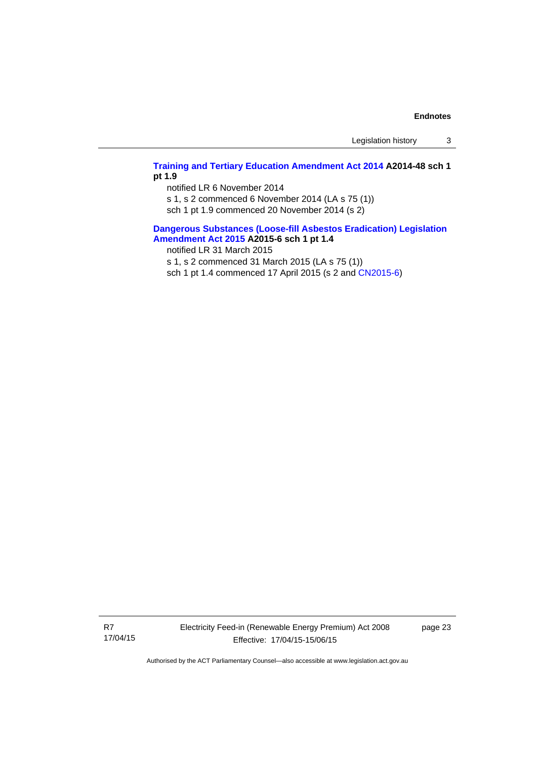Legislation history 3

### **[Training and Tertiary Education Amendment Act 2014](http://www.legislation.act.gov.au/a/2014-48) A2014-48 sch 1 pt 1.9**

notified LR 6 November 2014

s 1, s 2 commenced 6 November 2014 (LA s 75 (1))

sch 1 pt 1.9 commenced 20 November 2014 (s 2)

### **[Dangerous Substances \(Loose-fill Asbestos Eradication\) Legislation](http://www.legislation.act.gov.au/a/2015-6/default.asp)  [Amendment Act 2015](http://www.legislation.act.gov.au/a/2015-6/default.asp) A2015-6 sch 1 pt 1.4**

notified LR 31 March 2015

s 1, s 2 commenced 31 March 2015 (LA s 75 (1))

sch 1 pt 1.4 commenced 17 April 2015 (s 2 and [CN2015-6\)](http://www.legislation.act.gov.au/cn/2015-6/default.asp)

R7 17/04/15 Electricity Feed-in (Renewable Energy Premium) Act 2008 Effective: 17/04/15-15/06/15

page 23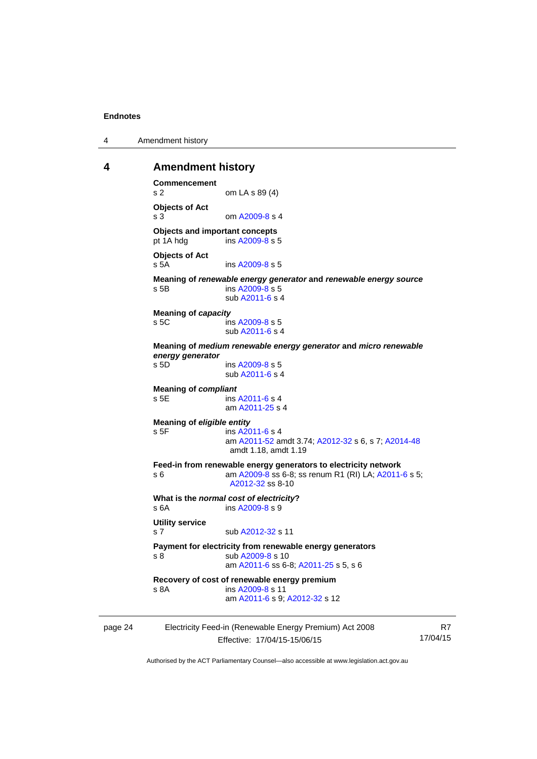4 Amendment history

### <span id="page-27-0"></span>**4 Amendment history**

```
page 24 Electricity Feed-in (Renewable Energy Premium) Act 2008 
Commencement 
s 2 om LA s 89 (4) 
Objects of Act 
A2009-8 s 4
Objects and important concepts 
pt 1A hdg ins A2009-8 s 5 
Objects of Act 
 A2009-8 s 5
Meaning of renewable energy generator and renewable energy source
s 5B ins A2009-8 s 5 
                 sub A2011-6 s 4 
Meaning of capacity
 A2009-8 s 5
                 sub A2011-6 s 4 
Meaning of medium renewable energy generator and micro renewable 
energy generator
s 5D ins A2009-8 s 5 
                 sub A2011-6 s 4 
Meaning of compliant
 A2011-6 s 4
                 am A2011-25 s 4 
Meaning of eligible entity
s 5F ins A2011-6 s 4 
                 am A2011-52 amdt 3.74; A2012-32 s 6, s 7; A2014-48
                 amdt 1.18, amdt 1.19 
Feed-in from renewable energy generators to electricity network 
s 6 am A2009-8 ss 6-8; ss renum R1 (RI) LA; A2011-6 s 5; 
                 A2012-32 ss 8-10
What is the normal cost of electricity? 
 A2009-8 s 9
Utility service 
A2012-32 s 11
Payment for electricity from renewable energy generators 
s 8 sub A2009-8 s 10 
                 am A2011-6 ss 6-8; A2011-25 s 5, s 6
Recovery of cost of renewable energy premium 
s 8A ins A2009-8 s 11 
                 am A2011-6 s 9; A2012-32 s 12
```
Effective: 17/04/15-15/06/15

R7 17/04/15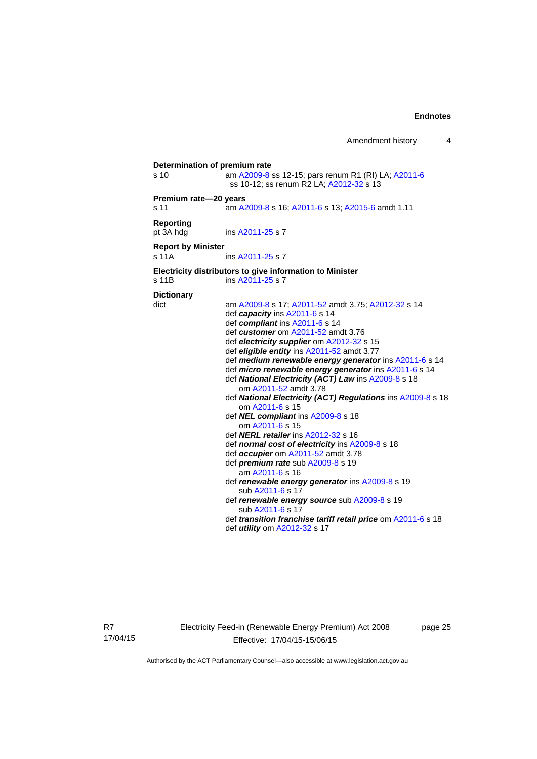| s <sub>10</sub>               | Determination of premium rate<br>am A2009-8 ss 12-15; pars renum R1 (RI) LA; A2011-6<br>ss 10-12; ss renum R2 LA; A2012-32 s 13 |
|-------------------------------|---------------------------------------------------------------------------------------------------------------------------------|
| Premium rate-20 years         |                                                                                                                                 |
| s 11                          | am A2009-8 s 16; A2011-6 s 13; A2015-6 amdt 1.11                                                                                |
| <b>Reporting</b><br>pt 3A hdg | ins A2011-25 s 7                                                                                                                |
| <b>Report by Minister</b>     |                                                                                                                                 |
| s 11A                         | ins A2011-25 s 7                                                                                                                |
| s 11B                         | Electricity distributors to give information to Minister<br>ins A2011-25 s 7                                                    |
| <b>Dictionary</b>             |                                                                                                                                 |
| dict                          | am A2009-8 s 17; A2011-52 amdt 3.75; A2012-32 s 14                                                                              |
|                               | def capacity ins A2011-6 s 14                                                                                                   |
|                               | def compliant ins A2011-6 s 14                                                                                                  |
|                               | def customer om A2011-52 amdt 3.76                                                                                              |
|                               | def electricity supplier om A2012-32 s 15                                                                                       |
|                               | def eligible entity ins A2011-52 amdt 3.77                                                                                      |
|                               | def medium renewable energy generator ins A2011-6 s 14                                                                          |
|                               | def micro renewable energy generator ins A2011-6 s 14                                                                           |
|                               | def National Electricity (ACT) Law ins A2009-8 s 18                                                                             |
|                               | om A2011-52 amdt 3.78                                                                                                           |
|                               | def National Electricity (ACT) Regulations ins A2009-8 s 18                                                                     |
|                               | om A2011-6 s 15                                                                                                                 |
|                               | def NEL compliant ins A2009-8 s 18                                                                                              |
|                               | om A2011-6 s 15                                                                                                                 |
|                               | def <b>NERL retailer</b> ins A2012-32 s 16                                                                                      |
|                               | def normal cost of electricity ins A2009-8 s 18                                                                                 |
|                               | def occupier om A2011-52 amdt 3.78                                                                                              |
|                               | def premium rate sub A2009-8 s 19                                                                                               |
|                               | am A2011-6 s 16                                                                                                                 |
|                               | def renewable energy generator ins A2009-8 s 19<br>sub A2011-6 s 17                                                             |
|                               | def renewable energy source sub A2009-8 s 19<br>sub A2011-6 s 17                                                                |
|                               | def transition franchise tariff retail price om A2011-6 s 18                                                                    |
|                               | def <i>utility</i> om A2012-32 s 17                                                                                             |

R7 17/04/15 Electricity Feed-in (Renewable Energy Premium) Act 2008 Effective: 17/04/15-15/06/15

page 25